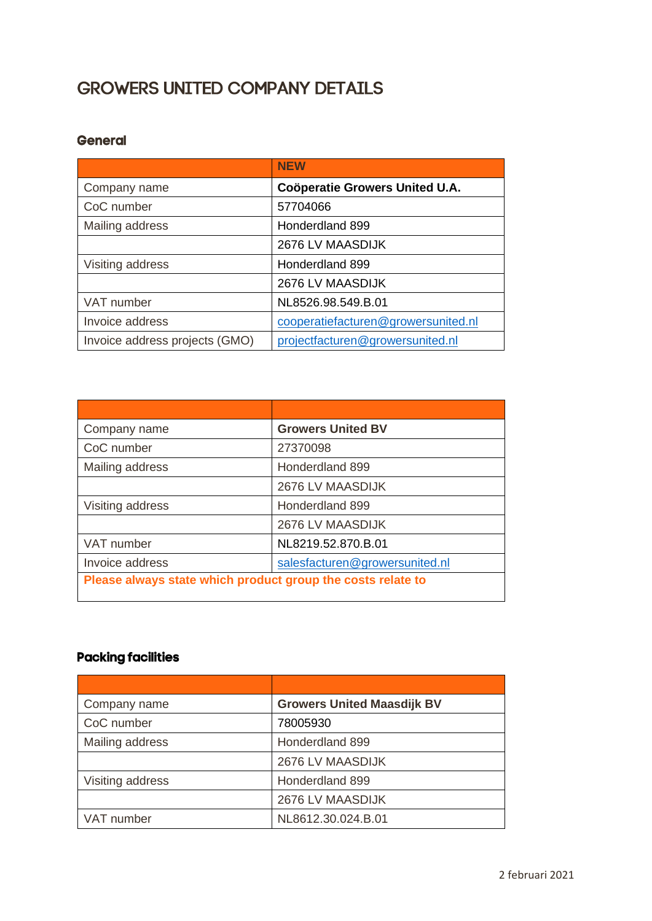## **GROWERS UNITED COMPANY DETAILS**

## **General**

|                                | <b>NEW</b>                            |
|--------------------------------|---------------------------------------|
| Company name                   | <b>Coöperatie Growers United U.A.</b> |
| CoC number                     | 57704066                              |
| Mailing address                | Honderdland 899                       |
|                                | 2676 LV MAASDIJK                      |
| Visiting address               | Honderdland 899                       |
|                                | 2676 LV MAASDIJK                      |
| VAT number                     | NL8526.98.549.B.01                    |
| Invoice address                | cooperatiefacturen@growersunited.nl   |
| Invoice address projects (GMO) | projectfacturen@growersunited.nl      |

| Company name                                                | <b>Growers United BV</b>       |
|-------------------------------------------------------------|--------------------------------|
| CoC number                                                  | 27370098                       |
| Mailing address                                             | Honderdland 899                |
|                                                             | 2676 LV MAASDIJK               |
| Visiting address                                            | Honderdland 899                |
|                                                             | 2676 LV MAASDIJK               |
| VAT number                                                  | NL8219.52.870.B.01             |
| Invoice address                                             | salesfacturen@growersunited.nl |
| Please always state which product group the costs relate to |                                |

## **Packing facilities**

| Company name     | <b>Growers United Maasdijk BV</b> |
|------------------|-----------------------------------|
| CoC number       | 78005930                          |
| Mailing address  | Honderdland 899                   |
|                  | 2676 LV MAASDIJK                  |
| Visiting address | Honderdland 899                   |
|                  | 2676 LV MAASDIJK                  |
| VAT number       | NL8612.30.024.B.01                |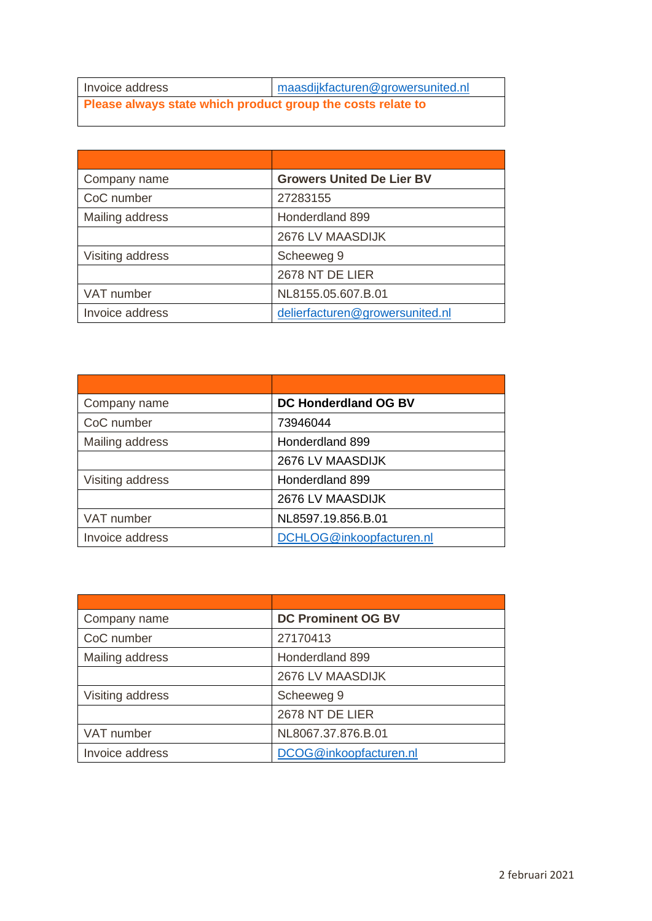| Invoice address                                             | maasdijkfacturen@growersunited.nl |
|-------------------------------------------------------------|-----------------------------------|
| Please always state which product group the costs relate to |                                   |

| Company name     | <b>Growers United De Lier BV</b> |
|------------------|----------------------------------|
| CoC number       | 27283155                         |
| Mailing address  | Honderdland 899                  |
|                  | 2676 LV MAASDIJK                 |
| Visiting address | Scheeweg 9                       |
|                  | 2678 NT DE LIER                  |
| VAT number       | NL8155.05.607.B.01               |
| Invoice address  | delierfacturen@growersunited.nl  |

| Company name     | DC Honderdland OG BV     |
|------------------|--------------------------|
| CoC number       | 73946044                 |
| Mailing address  | Honderdland 899          |
|                  | 2676 LV MAASDIJK         |
| Visiting address | Honderdland 899          |
|                  | 2676 LV MAASDIJK         |
| VAT number       | NL8597.19.856.B.01       |
| Invoice address  | DCHLOG@inkoopfacturen.nl |

| Company name     | <b>DC Prominent OG BV</b> |
|------------------|---------------------------|
| CoC number       | 27170413                  |
| Mailing address  | Honderdland 899           |
|                  | 2676 LV MAASDIJK          |
| Visiting address | Scheeweg 9                |
|                  | 2678 NT DE LIER           |
| VAT number       | NL8067.37.876.B.01        |
| Invoice address  | DCOG@inkoopfacturen.nl    |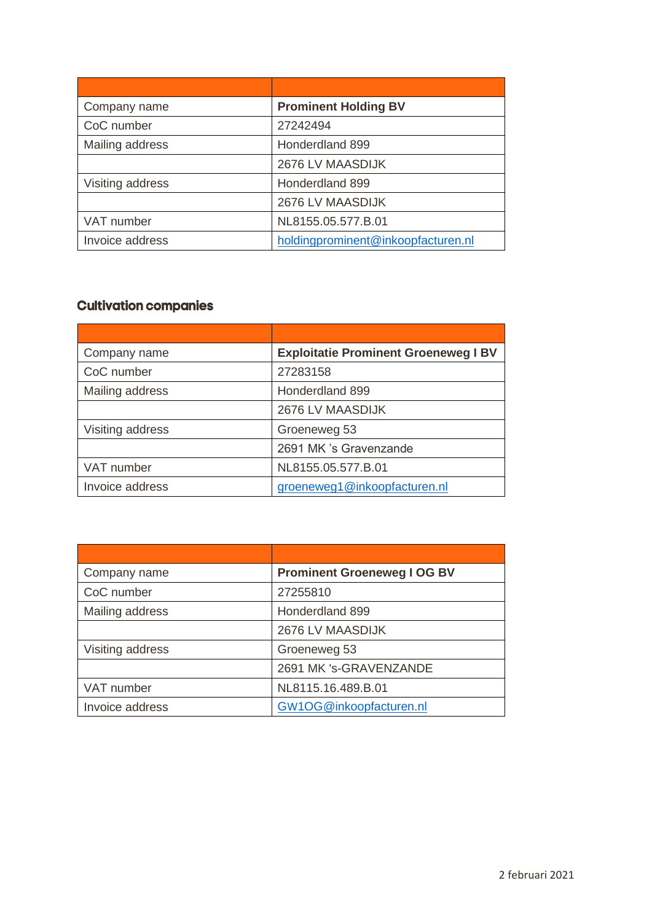| Company name     | <b>Prominent Holding BV</b>        |
|------------------|------------------------------------|
| CoC number       | 27242494                           |
| Mailing address  | Honderdland 899                    |
|                  | 2676 LV MAASDIJK                   |
| Visiting address | Honderdland 899                    |
|                  | 2676 LV MAASDIJK                   |
| VAT number       | NL8155.05.577.B.01                 |
| Invoice address  | holdingprominent@inkoopfacturen.nl |

## **Cultivation companies**

| Company name     | <b>Exploitatie Prominent Groeneweg I BV</b> |
|------------------|---------------------------------------------|
| CoC number       | 27283158                                    |
| Mailing address  | Honderdland 899                             |
|                  | 2676 LV MAASDIJK                            |
| Visiting address | Groeneweg 53                                |
|                  | 2691 MK 's Gravenzande                      |
| VAT number       | NL8155.05.577.B.01                          |
| Invoice address  | groeneweg1@inkoopfacturen.nl                |

| Company name     | <b>Prominent Groeneweg I OG BV</b> |
|------------------|------------------------------------|
| CoC number       | 27255810                           |
| Mailing address  | Honderdland 899                    |
|                  | 2676 LV MAASDIJK                   |
| Visiting address | Groeneweg 53                       |
|                  | 2691 MK 's-GRAVENZANDE             |
| VAT number       | NL8115.16.489.B.01                 |
| Invoice address  | GW1OG@inkoopfacturen.nl            |